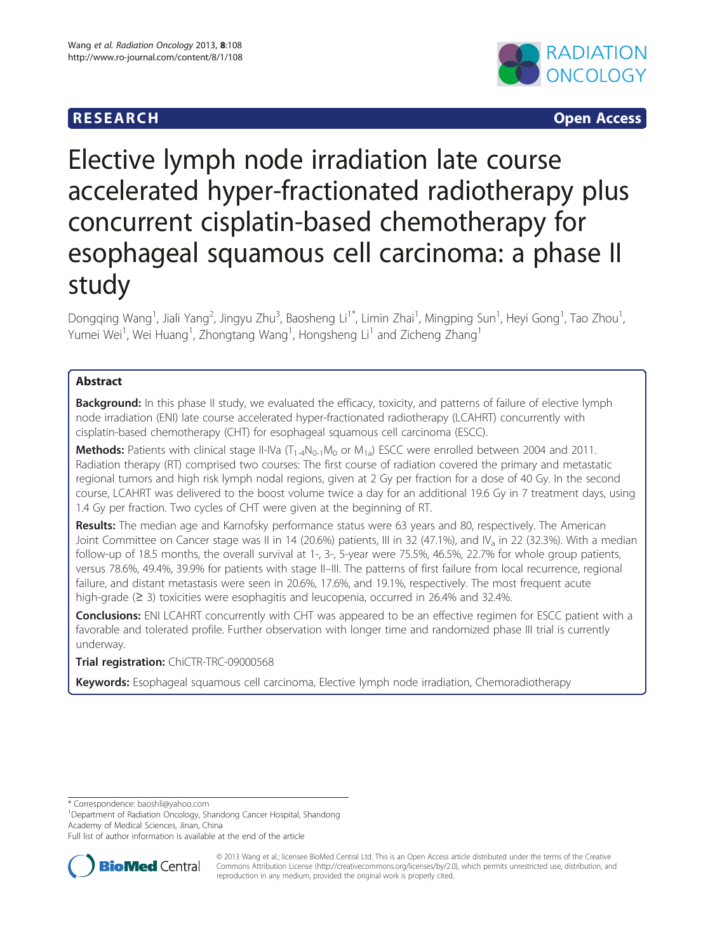# **RESEARCH CHINESE ARCH CHINESE ARCH CHINESE ARCH**



# Elective lymph node irradiation late course accelerated hyper-fractionated radiotherapy plus concurrent cisplatin-based chemotherapy for esophageal squamous cell carcinoma: a phase II study

Dongqing Wang<sup>1</sup>, Jiali Yang<sup>2</sup>, Jingyu Zhu<sup>3</sup>, Baosheng Li<sup>1\*</sup>, Limin Zhai<sup>1</sup>, Mingping Sun<sup>1</sup>, Heyi Gong<sup>1</sup>, Tao Zhou<sup>1</sup> , Yumei Wei<sup>1</sup>, Wei Huang<sup>1</sup>, Zhongtang Wang<sup>1</sup>, Hongsheng Li<sup>1</sup> and Zicheng Zhang<sup>1</sup>

# Abstract

Background: In this phase II study, we evaluated the efficacy, toxicity, and patterns of failure of elective lymph node irradiation (ENI) late course accelerated hyper-fractionated radiotherapy (LCAHRT) concurrently with cisplatin-based chemotherapy (CHT) for esophageal squamous cell carcinoma (ESCC).

**Methods:** Patients with clinical stage II-IVa  $(T_{1-4}N_{0-1}M_0$  or  $M_{1a}$ ) ESCC were enrolled between 2004 and 2011. Radiation therapy (RT) comprised two courses: The first course of radiation covered the primary and metastatic regional tumors and high risk lymph nodal regions, given at 2 Gy per fraction for a dose of 40 Gy. In the second course, LCAHRT was delivered to the boost volume twice a day for an additional 19.6 Gy in 7 treatment days, using 1.4 Gy per fraction. Two cycles of CHT were given at the beginning of RT.

Results: The median age and Karnofsky performance status were 63 years and 80, respectively. The American Joint Committee on Cancer stage was II in 14 (20.6%) patients, III in 32 (47.1%), and IV<sub>a</sub> in 22 (32.3%). With a median follow-up of 18.5 months, the overall survival at 1-, 3-, 5-year were 75.5%, 46.5%, 22.7% for whole group patients, versus 78.6%, 49.4%, 39.9% for patients with stage II–III. The patterns of first failure from local recurrence, regional failure, and distant metastasis were seen in 20.6%, 17.6%, and 19.1%, respectively. The most frequent acute high-grade (≥ 3) toxicities were esophagitis and leucopenia, occurred in 26.4% and 32.4%.

Conclusions: ENI LCAHRT concurrently with CHT was appeared to be an effective regimen for ESCC patient with a favorable and tolerated profile. Further observation with longer time and randomized phase III trial is currently underway.

Trial registration: ChiCTR-TRC-09000568

Keywords: Esophageal squamous cell carcinoma, Elective lymph node irradiation, Chemoradiotherapy

\* Correspondence: baoshli@yahoo.com <sup>1</sup>

<sup>1</sup>Department of Radiation Oncology, Shandong Cancer Hospital, Shandong Academy of Medical Sciences, Jinan, China

Full list of author information is available at the end of the article



© 2013 Wang et al.; licensee BioMed Central Ltd. This is an Open Access article distributed under the terms of the Creative Commons Attribution License (http://creativecommons.org/licenses/by/2.0), which permits unrestricted use, distribution, and reproduction in any medium, provided the original work is properly cited.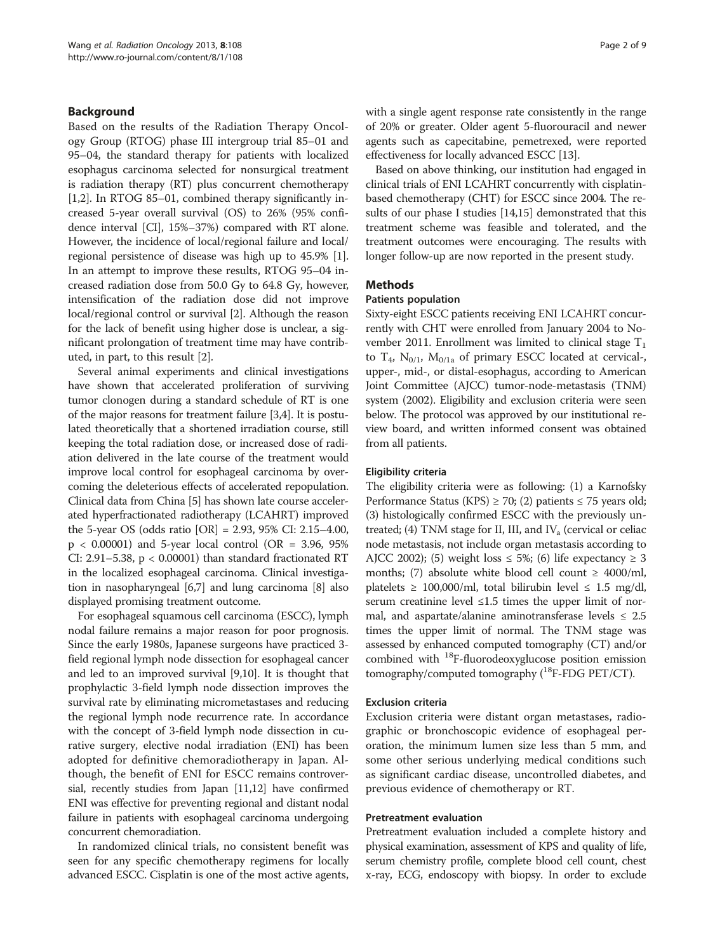# Background

Based on the results of the Radiation Therapy Oncology Group (RTOG) phase III intergroup trial 85–01 and 95–04, the standard therapy for patients with localized esophagus carcinoma selected for nonsurgical treatment is radiation therapy (RT) plus concurrent chemotherapy [1,2]. In RTOG 85–01, combined therapy significantly increased 5-year overall survival (OS) to 26% (95% confidence interval [CI], 15%–37%) compared with RT alone. However, the incidence of local/regional failure and local/ regional persistence of disease was high up to 45.9% [1]. In an attempt to improve these results, RTOG 95–04 increased radiation dose from 50.0 Gy to 64.8 Gy, however, intensification of the radiation dose did not improve local/regional control or survival [2]. Although the reason for the lack of benefit using higher dose is unclear, a significant prolongation of treatment time may have contributed, in part, to this result [2].

Several animal experiments and clinical investigations have shown that accelerated proliferation of surviving tumor clonogen during a standard schedule of RT is one of the major reasons for treatment failure [3,4]. It is postulated theoretically that a shortened irradiation course, still keeping the total radiation dose, or increased dose of radiation delivered in the late course of the treatment would improve local control for esophageal carcinoma by overcoming the deleterious effects of accelerated repopulation. Clinical data from China [5] has shown late course accelerated hyperfractionated radiotherapy (LCAHRT) improved the 5-year OS (odds ratio [OR] = 2.93, 95% CI: 2.15–4.00,  $p < 0.00001$ ) and 5-year local control (OR = 3.96, 95%) CI: 2.91–5.38, p < 0.00001) than standard fractionated RT in the localized esophageal carcinoma. Clinical investigation in nasopharyngeal [6,7] and lung carcinoma [8] also displayed promising treatment outcome.

For esophageal squamous cell carcinoma (ESCC), lymph nodal failure remains a major reason for poor prognosis. Since the early 1980s, Japanese surgeons have practiced 3 field regional lymph node dissection for esophageal cancer and led to an improved survival [9,10]. It is thought that prophylactic 3-field lymph node dissection improves the survival rate by eliminating micrometastases and reducing the regional lymph node recurrence rate. In accordance with the concept of 3-field lymph node dissection in curative surgery, elective nodal irradiation (ENI) has been adopted for definitive chemoradiotherapy in Japan. Although, the benefit of ENI for ESCC remains controversial, recently studies from Japan [11,12] have confirmed ENI was effective for preventing regional and distant nodal failure in patients with esophageal carcinoma undergoing concurrent chemoradiation.

In randomized clinical trials, no consistent benefit was seen for any specific chemotherapy regimens for locally advanced ESCC. Cisplatin is one of the most active agents,

with a single agent response rate consistently in the range of 20% or greater. Older agent 5-fluorouracil and newer agents such as capecitabine, pemetrexed, were reported effectiveness for locally advanced ESCC [13].

Based on above thinking, our institution had engaged in clinical trials of ENI LCAHRT concurrently with cisplatinbased chemotherapy (CHT) for ESCC since 2004. The results of our phase I studies [14,15] demonstrated that this treatment scheme was feasible and tolerated, and the treatment outcomes were encouraging. The results with longer follow-up are now reported in the present study.

# Methods

#### Patients population

Sixty-eight ESCC patients receiving ENI LCAHRT concurrently with CHT were enrolled from January 2004 to November 2011. Enrollment was limited to clinical stage  $T_1$ to  $T_4$ , N<sub>0/1</sub>, M<sub>0/1a</sub> of primary ESCC located at cervical-, upper-, mid-, or distal-esophagus, according to American Joint Committee (AJCC) tumor-node-metastasis (TNM) system (2002). Eligibility and exclusion criteria were seen below. The protocol was approved by our institutional review board, and written informed consent was obtained from all patients.

#### Eligibility criteria

The eligibility criteria were as following: (1) a Karnofsky Performance Status (KPS)  $\geq$  70; (2) patients  $\leq$  75 years old; (3) histologically confirmed ESCC with the previously untreated; (4) TNM stage for II, III, and  $IV_a$  (cervical or celiac node metastasis, not include organ metastasis according to AJCC 2002); (5) weight loss  $\leq$  5%; (6) life expectancy  $\geq$  3 months; (7) absolute white blood cell count  $\geq 4000$ /ml, platelets  $\geq 100,000/\text{ml}$ , total bilirubin level  $\leq 1.5 \text{ mg/dl}$ , serum creatinine level  $\leq 1.5$  times the upper limit of normal, and aspartate/alanine aminotransferase levels  $\leq 2.5$ times the upper limit of normal. The TNM stage was assessed by enhanced computed tomography (CT) and/or combined with 18F-fluorodeoxyglucose position emission tomography/computed tomography  $(^{18}F-FDG$  PET/CT).

#### Exclusion criteria

Exclusion criteria were distant organ metastases, radiographic or bronchoscopic evidence of esophageal peroration, the minimum lumen size less than 5 mm, and some other serious underlying medical conditions such as significant cardiac disease, uncontrolled diabetes, and previous evidence of chemotherapy or RT.

# Pretreatment evaluation

Pretreatment evaluation included a complete history and physical examination, assessment of KPS and quality of life, serum chemistry profile, complete blood cell count, chest x-ray, ECG, endoscopy with biopsy. In order to exclude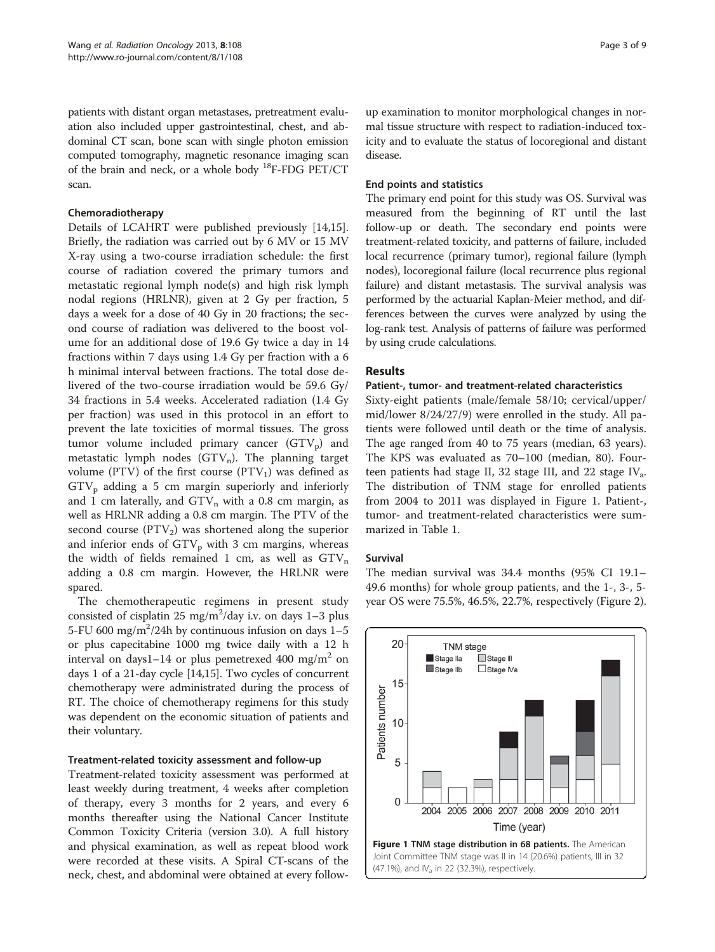patients with distant organ metastases, pretreatment evaluation also included upper gastrointestinal, chest, and abdominal CT scan, bone scan with single photon emission computed tomography, magnetic resonance imaging scan of the brain and neck, or a whole body 18F-FDG PET/CT scan.

# Chemoradiotherapy

Details of LCAHRT were published previously [14,15]. Briefly, the radiation was carried out by 6 MV or 15 MV X-ray using a two-course irradiation schedule: the first course of radiation covered the primary tumors and metastatic regional lymph node(s) and high risk lymph nodal regions (HRLNR), given at 2 Gy per fraction, 5 days a week for a dose of 40 Gy in 20 fractions; the second course of radiation was delivered to the boost volume for an additional dose of 19.6 Gy twice a day in 14 fractions within 7 days using 1.4 Gy per fraction with a 6 h minimal interval between fractions. The total dose delivered of the two-course irradiation would be 59.6 Gy/ 34 fractions in 5.4 weeks. Accelerated radiation (1.4 Gy per fraction) was used in this protocol in an effort to prevent the late toxicities of mormal tissues. The gross tumor volume included primary cancer  $(GTV_p)$  and metastatic lymph nodes  $(GTV_n)$ . The planning target volume (PTV) of the first course (PTV<sub>1</sub>) was defined as  $GTV<sub>p</sub>$  adding a 5 cm margin superiorly and inferiorly and 1 cm laterally, and  $GTV_n$  with a 0.8 cm margin, as well as HRLNR adding a 0.8 cm margin. The PTV of the second course  $(PTV<sub>2</sub>)$  was shortened along the superior and inferior ends of  $GTV_p$  with 3 cm margins, whereas the width of fields remained 1 cm, as well as  $GTV_n$ adding a 0.8 cm margin. However, the HRLNR were spared.

The chemotherapeutic regimens in present study consisted of cisplatin 25 mg/m<sup>2</sup>/day i.v. on days 1-3 plus 5-FU 600 mg/m<sup>2</sup>/24h by continuous infusion on days  $1-5$ or plus capecitabine 1000 mg twice daily with a 12 h interval on days1–14 or plus pemetrexed 400 mg/m<sup>2</sup> on days 1 of a 21-day cycle [14,15]. Two cycles of concurrent chemotherapy were administrated during the process of RT. The choice of chemotherapy regimens for this study was dependent on the economic situation of patients and their voluntary.

# Treatment-related toxicity assessment and follow-up

Treatment-related toxicity assessment was performed at least weekly during treatment, 4 weeks after completion of therapy, every 3 months for 2 years, and every 6 months thereafter using the National Cancer Institute Common Toxicity Criteria (version 3.0). A full history and physical examination, as well as repeat blood work were recorded at these visits. A Spiral CT-scans of the neck, chest, and abdominal were obtained at every follow-

up examination to monitor morphological changes in normal tissue structure with respect to radiation-induced toxicity and to evaluate the status of locoregional and distant disease.

#### End points and statistics

The primary end point for this study was OS. Survival was measured from the beginning of RT until the last follow-up or death. The secondary end points were treatment-related toxicity, and patterns of failure, included local recurrence (primary tumor), regional failure (lymph nodes), locoregional failure (local recurrence plus regional failure) and distant metastasis. The survival analysis was performed by the actuarial Kaplan-Meier method, and differences between the curves were analyzed by using the log-rank test. Analysis of patterns of failure was performed by using crude calculations.

# Results

#### Patient-, tumor- and treatment-related characteristics

Sixty-eight patients (male/female 58/10; cervical/upper/ mid/lower 8/24/27/9) were enrolled in the study. All patients were followed until death or the time of analysis. The age ranged from 40 to 75 years (median, 63 years). The KPS was evaluated as 70–100 (median, 80). Fourteen patients had stage II, 32 stage III, and 22 stage  $IV_a$ . The distribution of TNM stage for enrolled patients from 2004 to 2011 was displayed in Figure 1. Patient-, tumor- and treatment-related characteristics were summarized in Table 1.

# Survival

The median survival was 34.4 months (95% CI 19.1– 49.6 months) for whole group patients, and the 1-, 3-, 5 year OS were 75.5%, 46.5%, 22.7%, respectively (Figure 2).

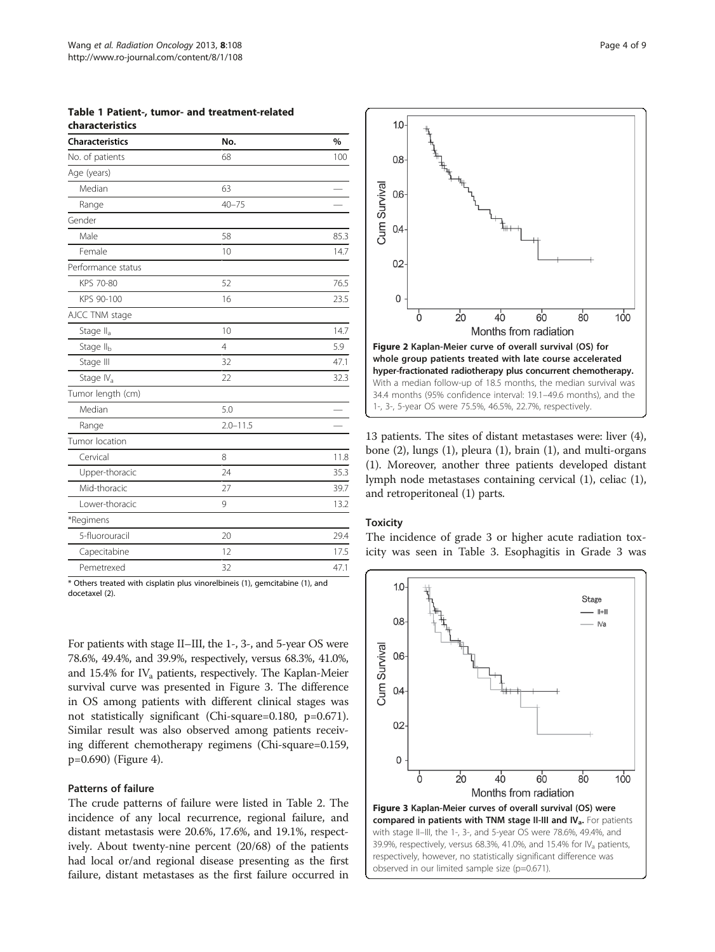|  |                        |  | Table 1 Patient-, tumor- and treatment-related |  |
|--|------------------------|--|------------------------------------------------|--|
|  | <b>characteristics</b> |  |                                                |  |

| <b>Characteristics</b> | No.            | $\%$ |
|------------------------|----------------|------|
| No. of patients        | 68             | 100  |
| Age (years)            |                |      |
| Median                 | 63             |      |
| Range                  | $40 - 75$      |      |
| Gender                 |                |      |
| Male                   | 58             | 85.3 |
| Female                 | 10             | 14.7 |
| Performance status     |                |      |
| KPS 70-80              | 52             | 76.5 |
| KPS 90-100             | 16             | 23.5 |
| AJCC TNM stage         |                |      |
| Stage II <sub>a</sub>  | 10             | 14.7 |
| Stage II <sub>b</sub>  | $\overline{4}$ | 5.9  |
| Stage III              | 32             | 47.1 |
| Stage IV <sub>a</sub>  | 22             | 32.3 |
| Tumor length (cm)      |                |      |
| Median                 | 5.0            |      |
| Range                  | $2.0 - 11.5$   |      |
| Tumor location         |                |      |
| Cervical               | 8              | 11.8 |
| Upper-thoracic         | 24             | 35.3 |
| Mid-thoracic           | 27             | 39.7 |
| Lower-thoracic         | 9              | 13.2 |
| *Regimens              |                |      |
| 5-fluorouracil         | 20             | 29.4 |
| Capecitabine           | 12             | 17.5 |
| Pemetrexed             | 32             | 47.1 |
|                        |                |      |

\* Others treated with cisplatin plus vinorelbineis (1), gemcitabine (1), and docetaxel (2).

For patients with stage II–III, the 1-, 3-, and 5-year OS were 78.6%, 49.4%, and 39.9%, respectively, versus 68.3%, 41.0%, and 15.4% for IVa patients, respectively. The Kaplan-Meier survival curve was presented in Figure 3. The difference in OS among patients with different clinical stages was not statistically significant (Chi-square=0.180, p=0.671). Similar result was also observed among patients receiving different chemotherapy regimens (Chi-square=0.159, p=0.690) (Figure 4).

# Patterns of failure

The crude patterns of failure were listed in Table 2. The incidence of any local recurrence, regional failure, and distant metastasis were 20.6%, 17.6%, and 19.1%, respectively. About twenty-nine percent (20/68) of the patients had local or/and regional disease presenting as the first failure, distant metastases as the first failure occurred in



13 patients. The sites of distant metastases were: liver (4), bone (2), lungs (1), pleura (1), brain (1), and multi-organs (1). Moreover, another three patients developed distant lymph node metastases containing cervical (1), celiac (1), and retroperitoneal (1) parts.

# **Toxicity**

The incidence of grade 3 or higher acute radiation toxicity was seen in Table 3. Esophagitis in Grade 3 was

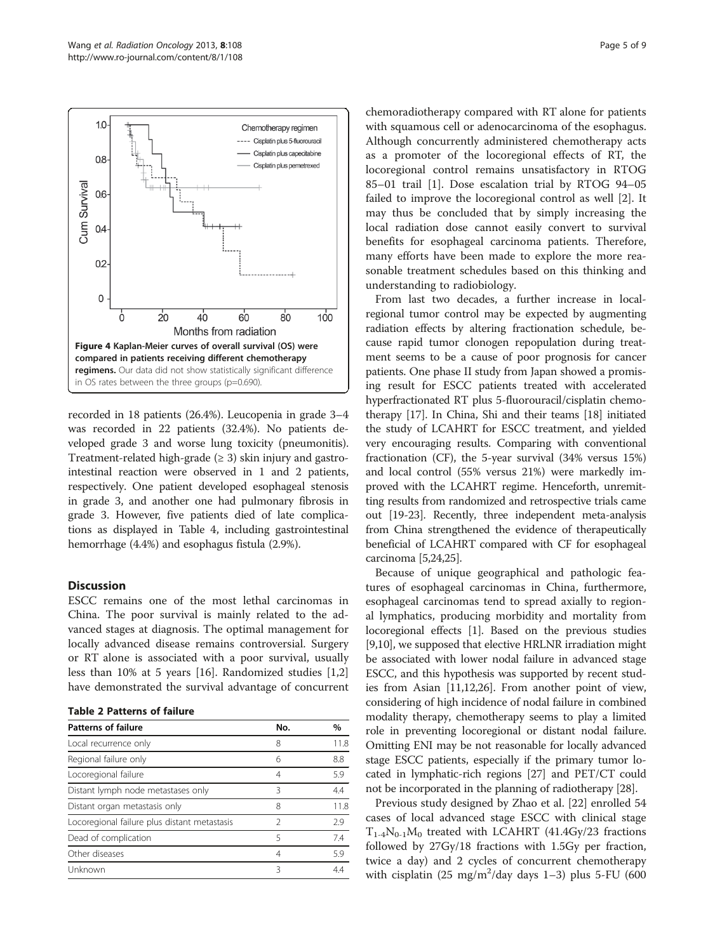$1.0$ 

 $0.8$ 

0.6

 $0.4$ 

Cum Survival



 $02$  $\mathbf 0$  $\frac{1}{2}$ ò 40  $10<sub>0</sub>$  $60$  $80$ Months from radiation Figure 4 Kaplan-Meier curves of overall survival (OS) were compared in patients receiving different chemotherapy regimens. Our data did not show statistically significant difference in OS rates between the three groups (p=0.690).

recorded in 18 patients (26.4%). Leucopenia in grade 3–4 was recorded in 22 patients (32.4%). No patients developed grade 3 and worse lung toxicity (pneumonitis). Treatment-related high-grade  $(\geq 3)$  skin injury and gastrointestinal reaction were observed in 1 and 2 patients, respectively. One patient developed esophageal stenosis in grade 3, and another one had pulmonary fibrosis in grade 3. However, five patients died of late complications as displayed in Table 4, including gastrointestinal hemorrhage (4.4%) and esophagus fistula (2.9%).

# **Discussion**

ESCC remains one of the most lethal carcinomas in China. The poor survival is mainly related to the advanced stages at diagnosis. The optimal management for locally advanced disease remains controversial. Surgery or RT alone is associated with a poor survival, usually less than 10% at 5 years [16]. Randomized studies [1,2] have demonstrated the survival advantage of concurrent

|  |  | <b>Table 2 Patterns of failure</b> |  |  |
|--|--|------------------------------------|--|--|
|--|--|------------------------------------|--|--|

| <b>Patterns of failure</b>                   | No. | $\%$ |
|----------------------------------------------|-----|------|
| Local recurrence only                        | 8   | 11.8 |
| Regional failure only                        | 6   | 8.8  |
| Locoregional failure                         | 4   | 5.9  |
| Distant lymph node metastases only           | ζ   | 4.4  |
| Distant organ metastasis only                | 8   | 11.8 |
| Locoregional failure plus distant metastasis | 2   | 2.9  |
| Dead of complication                         | 5   | 7.4  |
| Other diseases                               | 4   | 5.9  |
| Unknown                                      | ζ   |      |

chemoradiotherapy compared with RT alone for patients with squamous cell or adenocarcinoma of the esophagus. Although concurrently administered chemotherapy acts as a promoter of the locoregional effects of RT, the locoregional control remains unsatisfactory in RTOG 85–01 trail [1]. Dose escalation trial by RTOG 94–05 failed to improve the locoregional control as well [2]. It may thus be concluded that by simply increasing the local radiation dose cannot easily convert to survival benefits for esophageal carcinoma patients. Therefore, many efforts have been made to explore the more reasonable treatment schedules based on this thinking and understanding to radiobiology.

From last two decades, a further increase in localregional tumor control may be expected by augmenting radiation effects by altering fractionation schedule, because rapid tumor clonogen repopulation during treatment seems to be a cause of poor prognosis for cancer patients. One phase II study from Japan showed a promising result for ESCC patients treated with accelerated hyperfractionated RT plus 5-fluorouracil/cisplatin chemotherapy [17]. In China, Shi and their teams [18] initiated the study of LCAHRT for ESCC treatment, and yielded very encouraging results. Comparing with conventional fractionation (CF), the 5-year survival (34% versus 15%) and local control (55% versus 21%) were markedly improved with the LCAHRT regime. Henceforth, unremitting results from randomized and retrospective trials came out [19-23]. Recently, three independent meta-analysis from China strengthened the evidence of therapeutically beneficial of LCAHRT compared with CF for esophageal carcinoma [5,24,25].

Because of unique geographical and pathologic features of esophageal carcinomas in China, furthermore, esophageal carcinomas tend to spread axially to regional lymphatics, producing morbidity and mortality from locoregional effects [1]. Based on the previous studies [9,10], we supposed that elective HRLNR irradiation might be associated with lower nodal failure in advanced stage ESCC, and this hypothesis was supported by recent studies from Asian [11,12,26]. From another point of view, considering of high incidence of nodal failure in combined modality therapy, chemotherapy seems to play a limited role in preventing locoregional or distant nodal failure. Omitting ENI may be not reasonable for locally advanced stage ESCC patients, especially if the primary tumor located in lymphatic-rich regions [27] and PET/CT could not be incorporated in the planning of radiotherapy [28].

Previous study designed by Zhao et al. [22] enrolled 54 cases of local advanced stage ESCC with clinical stage  $T_{1-4}N_{0-1}M_0$  treated with LCAHRT (41.4Gy/23 fractions followed by 27Gy/18 fractions with 1.5Gy per fraction, twice a day) and 2 cycles of concurrent chemotherapy with cisplatin  $(25 \text{ mg/m}^2/\text{day days 1-3})$  plus 5-FU (600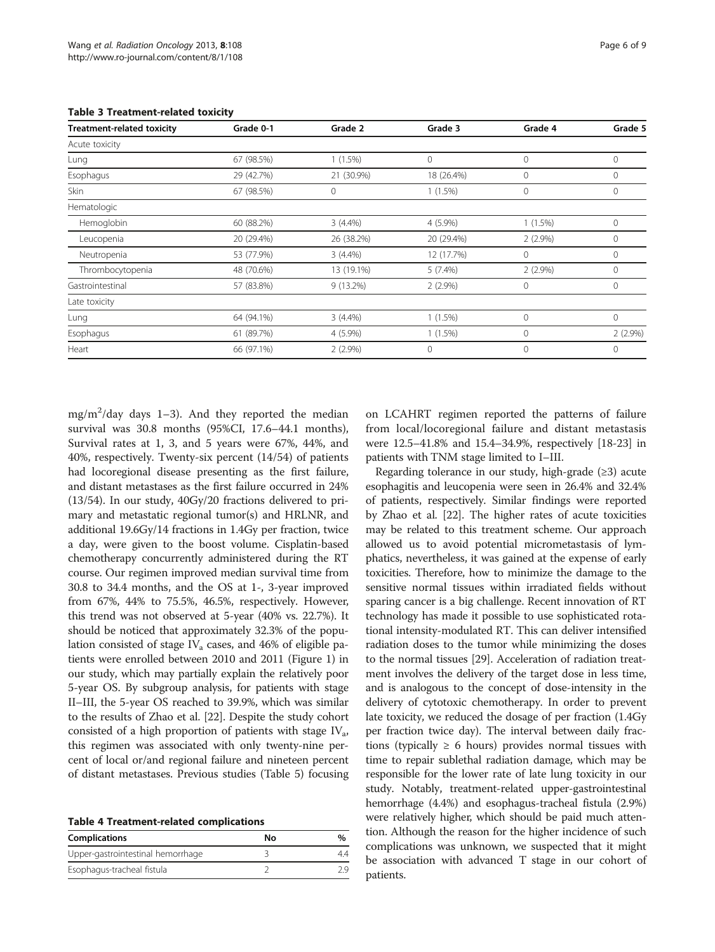| <b>Treatment-related toxicity</b> | Grade 0-1  | Grade 2    | Grade 3     | Grade 4     | Grade 5     |
|-----------------------------------|------------|------------|-------------|-------------|-------------|
| Acute toxicity                    |            |            |             |             |             |
| Lung                              | 67 (98.5%) | $1(1.5\%)$ | $\mathbf 0$ | 0           | $\mathbf 0$ |
| Esophagus                         | 29 (42.7%) | 21 (30.9%) | 18 (26.4%)  | 0           | $\Omega$    |
| Skin                              | 67 (98.5%) | 0          | $1(1.5\%)$  | 0           | $\mathbf 0$ |
| Hematologic                       |            |            |             |             |             |
| Hemoglobin                        | 60 (88.2%) | $3(4.4\%)$ | 4 (5.9%)    | $1(1.5\%)$  | $\circ$     |
| Leucopenia                        | 20 (29.4%) | 26 (38.2%) | 20 (29.4%)  | $2(2.9\%)$  | 0           |
| Neutropenia                       | 53 (77.9%) | $3(4.4\%)$ | 12 (17.7%)  | 0           | $\mathbf 0$ |
| Thrombocytopenia                  | 48 (70.6%) | 13 (19.1%) | 5(7.4%)     | $2(2.9\%)$  | $\mathbf 0$ |
| Gastrointestinal                  | 57 (83.8%) | 9 (13.2%)  | $2(2.9\%)$  | 0           | $\mathbf 0$ |
| Late toxicity                     |            |            |             |             |             |
| Lung                              | 64 (94.1%) | $3(4.4\%)$ | $1(1.5\%)$  | $\mathbf 0$ | $\mathbf 0$ |
| Esophagus                         | 61 (89.7%) | $4(5.9\%)$ | 1(1.5%)     | 0           | $2(2.9\%)$  |
| Heart                             | 66 (97.1%) | $2(2.9\%)$ | $\mathbf 0$ | 0           | $\Omega$    |

Table 3 Treatment-related toxicity

 $\text{mg/m}^2/\text{day}$  days 1–3). And they reported the median survival was 30.8 months (95%CI, 17.6–44.1 months), Survival rates at 1, 3, and 5 years were 67%, 44%, and 40%, respectively. Twenty-six percent (14/54) of patients had locoregional disease presenting as the first failure, and distant metastases as the first failure occurred in 24% (13/54). In our study, 40Gy/20 fractions delivered to primary and metastatic regional tumor(s) and HRLNR, and additional 19.6Gy/14 fractions in 1.4Gy per fraction, twice a day, were given to the boost volume. Cisplatin-based chemotherapy concurrently administered during the RT course. Our regimen improved median survival time from 30.8 to 34.4 months, and the OS at 1-, 3-year improved from 67%, 44% to 75.5%, 46.5%, respectively. However, this trend was not observed at 5-year (40% vs. 22.7%). It should be noticed that approximately 32.3% of the population consisted of stage  $IV_a$  cases, and 46% of eligible patients were enrolled between 2010 and 2011 (Figure 1) in our study, which may partially explain the relatively poor 5-year OS. By subgroup analysis, for patients with stage II–III, the 5-year OS reached to 39.9%, which was similar to the results of Zhao et al. [22]. Despite the study cohort consisted of a high proportion of patients with stage  $IV_a$ , this regimen was associated with only twenty-nine percent of local or/and regional failure and nineteen percent of distant metastases. Previous studies (Table 5) focusing

Table 4 Treatment-related complications

| <b>Complications</b>              | N٥ | % |
|-----------------------------------|----|---|
| Upper-gastrointestinal hemorrhage |    |   |
| Esophagus-tracheal fistula        |    |   |

on LCAHRT regimen reported the patterns of failure from local/locoregional failure and distant metastasis were 12.5–41.8% and 15.4–34.9%, respectively [18-23] in patients with TNM stage limited to I–III.

Regarding tolerance in our study, high-grade  $(≥3)$  acute esophagitis and leucopenia were seen in 26.4% and 32.4% of patients, respectively. Similar findings were reported by Zhao et al. [22]. The higher rates of acute toxicities may be related to this treatment scheme. Our approach allowed us to avoid potential micrometastasis of lymphatics, nevertheless, it was gained at the expense of early toxicities. Therefore, how to minimize the damage to the sensitive normal tissues within irradiated fields without sparing cancer is a big challenge. Recent innovation of RT technology has made it possible to use sophisticated rotational intensity-modulated RT. This can deliver intensified radiation doses to the tumor while minimizing the doses to the normal tissues [29]. Acceleration of radiation treatment involves the delivery of the target dose in less time, and is analogous to the concept of dose-intensity in the delivery of cytotoxic chemotherapy. In order to prevent late toxicity, we reduced the dosage of per fraction (1.4Gy per fraction twice day). The interval between daily fractions (typically  $\geq 6$  hours) provides normal tissues with time to repair sublethal radiation damage, which may be responsible for the lower rate of late lung toxicity in our study. Notably, treatment-related upper-gastrointestinal hemorrhage (4.4%) and esophagus-tracheal fistula (2.9%) were relatively higher, which should be paid much attention. Although the reason for the higher incidence of such complications was unknown, we suspected that it might be association with advanced T stage in our cohort of patients.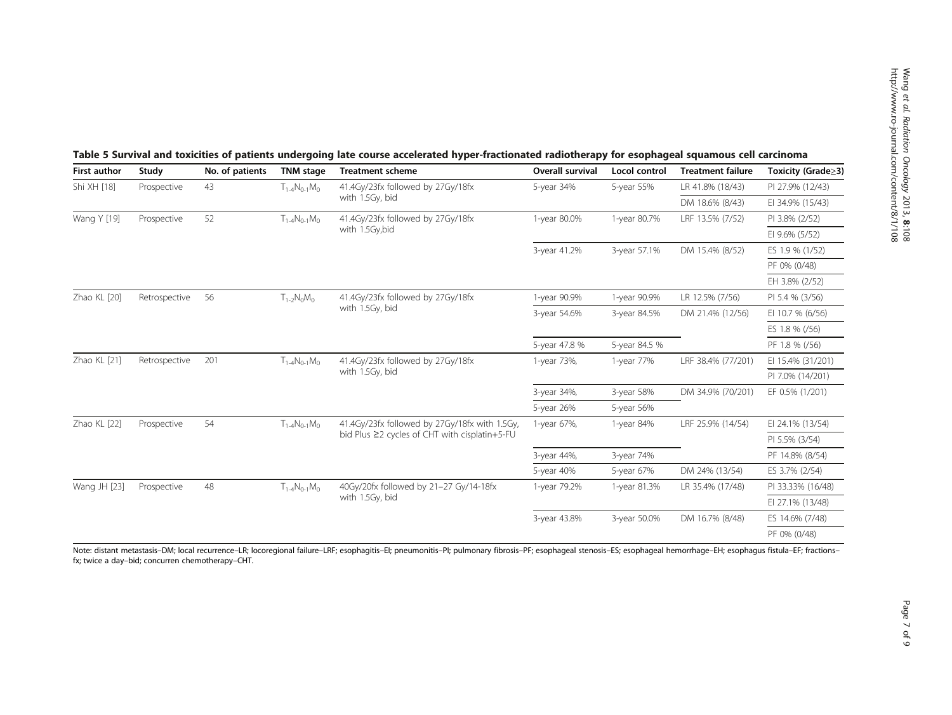| <b>First author</b> | Study         | No. of patients | TNM stage             | <b>Treatment scheme</b>                              | Overall survival | Locol control | <b>Treatment failure</b> | Toxicity (Grade $\geq$ 3) |
|---------------------|---------------|-----------------|-----------------------|------------------------------------------------------|------------------|---------------|--------------------------|---------------------------|
| Shi XH [18]         | Prospective   | 43              | $T_{1-4}N_{0-1}M_{0}$ | 41.4Gy/23fx followed by 27Gy/18fx                    | 5-year 34%       | 5-year 55%    | LR 41.8% (18/43)         | PI 27.9% (12/43)          |
|                     |               |                 |                       | with 1.5Gy, bid                                      |                  |               | DM 18.6% (8/43)          | EI 34.9% (15/43)          |
| Wang Y [19]         | Prospective   | 52              | $T_{1-4}N_{0-1}M_{0}$ | 41.4Gy/23fx followed by 27Gy/18fx                    | 1-year 80.0%     | 1-year 80.7%  | LRF 13.5% (7/52)         | PI 3.8% (2/52)            |
|                     |               |                 |                       | with 1.5Gy, bid                                      |                  |               |                          | EI 9.6% (5/52)            |
|                     |               |                 |                       |                                                      | 3-year 41.2%     | 3-year 57.1%  | DM 15.4% (8/52)          | ES 1.9 % (1/52)           |
|                     |               |                 |                       |                                                      |                  |               |                          | PF 0% (0/48)              |
|                     |               |                 |                       |                                                      |                  |               |                          | EH 3.8% (2/52)            |
| Zhao KL [20]        | Retrospective | 56              | $T_{1-2}N_0M_0$       | 41.4Gy/23fx followed by 27Gy/18fx<br>with 1.5Gy, bid | 1-year 90.9%     | 1-year 90.9%  | LR 12.5% (7/56)          | PI 5.4 % (3/56)           |
|                     |               |                 |                       |                                                      | 3-year 54.6%     | 3-year 84.5%  | DM 21.4% (12/56)         | EI 10.7 % (6/56)          |
|                     |               |                 |                       |                                                      |                  |               |                          | ES 1.8 % (/56)            |
|                     |               |                 |                       |                                                      | 5-year 47.8 %    | 5-year 84.5 % |                          | PF 1.8 % (/56)            |
| Zhao KL [21]        | Retrospective | 201             | $T_{1-4}N_{0-1}M_0$   | 41.4Gy/23fx followed by 27Gy/18fx                    | 1-year 73%,      | 1-year 77%    | LRF 38.4% (77/201)       | EI 15.4% (31/201)         |
|                     |               |                 |                       | with 1.5Gy, bid                                      |                  |               |                          | PI 7.0% (14/201)          |
|                     |               |                 |                       |                                                      | 3-year 34%,      | 3-year 58%    | DM 34.9% (70/201)        | EF 0.5% (1/201)           |
|                     |               |                 |                       |                                                      | 5-year 26%       | 5-year 56%    |                          |                           |
| Zhao KL [22]        | Prospective   | 54              | $T_{1-4}N_{0-1}M_{0}$ | 41.4Gy/23fx followed by 27Gy/18fx with 1.5Gy,        | 1-year 67%,      | 1-year 84%    | LRF 25.9% (14/54)        | EI 24.1% (13/54)          |
|                     |               |                 |                       | bid Plus ≥2 cycles of CHT with cisplatin+5-FU        |                  |               |                          | PI 5.5% (3/54)            |
|                     |               |                 |                       |                                                      | 3-year 44%,      | 3-year 74%    |                          | PF 14.8% (8/54)           |
|                     |               |                 |                       |                                                      | 5-year 40%       | 5-year 67%    | DM 24% (13/54)           | ES 3.7% (2/54)            |
| Wang JH [23]        | Prospective   | 48              | $T_{1-4}N_{0-1}M_0$   | 40Gy/20fx followed by 21-27 Gy/14-18fx               | 1-year 79.2%     | 1-year 81.3%  | LR 35.4% (17/48)         | PI 33.33% (16/48)         |
|                     |               |                 |                       | with 1.5Gy, bid                                      |                  |               |                          | EI 27.1% (13/48)          |
|                     |               |                 |                       |                                                      | 3-year 43.8%     | 3-year 50.0%  | DM 16.7% (8/48)          | ES 14.6% (7/48)           |
|                     |               |                 |                       |                                                      |                  |               |                          | PF 0% (0/48)              |

Table 5 Survival and toxicities of patients undergoing late course accelerated hyper-fractionated radiotherapy for esophageal squamous cell carcinoma

Note: distant metastasis–DM; local recurrence–LR; locoregional failure–LRF; esophagitis–EI; pneumonitis–PI; pulmonary fibrosis–PF; esophageal stenosis–ES; esophageal hemorrhage–EH; esophagus fistula–EF; fractions– fx; twice a day–bid; concurren chemotherapy–CHT.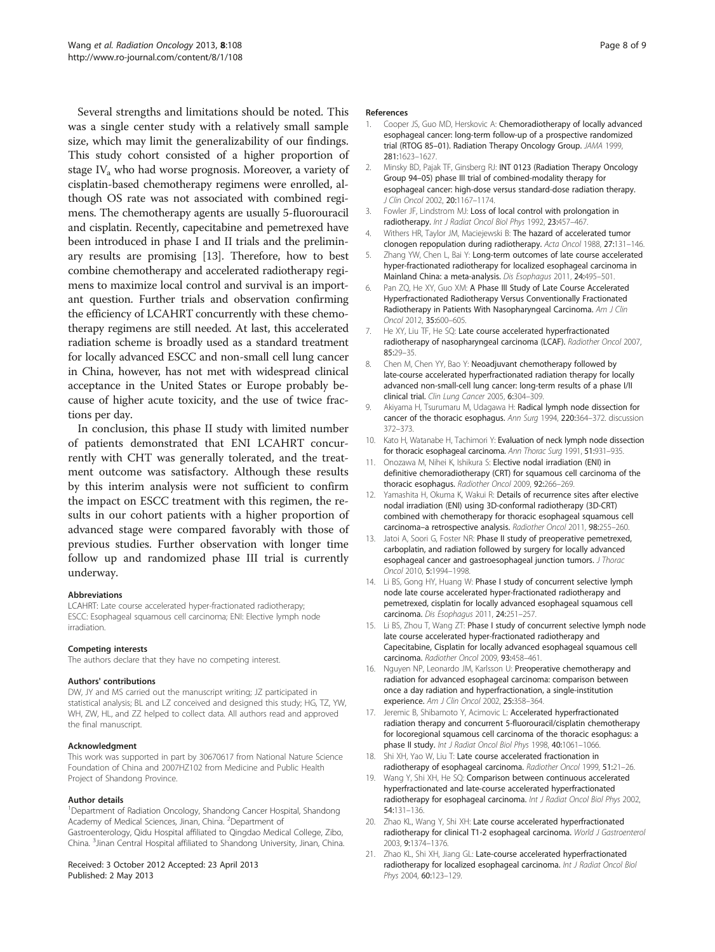Several strengths and limitations should be noted. This was a single center study with a relatively small sample size, which may limit the generalizability of our findings. This study cohort consisted of a higher proportion of stage  $IV_a$  who had worse prognosis. Moreover, a variety of cisplatin-based chemotherapy regimens were enrolled, although OS rate was not associated with combined regimens. The chemotherapy agents are usually 5-fluorouracil and cisplatin. Recently, capecitabine and pemetrexed have been introduced in phase I and II trials and the preliminary results are promising [13]. Therefore, how to best combine chemotherapy and accelerated radiotherapy regimens to maximize local control and survival is an important question. Further trials and observation confirming the efficiency of LCAHRT concurrently with these chemotherapy regimens are still needed. At last, this accelerated radiation scheme is broadly used as a standard treatment for locally advanced ESCC and non-small cell lung cancer in China, however, has not met with widespread clinical acceptance in the United States or Europe probably because of higher acute toxicity, and the use of twice fractions per day.

In conclusion, this phase II study with limited number of patients demonstrated that ENI LCAHRT concurrently with CHT was generally tolerated, and the treatment outcome was satisfactory. Although these results by this interim analysis were not sufficient to confirm the impact on ESCC treatment with this regimen, the results in our cohort patients with a higher proportion of advanced stage were compared favorably with those of previous studies. Further observation with longer time follow up and randomized phase III trial is currently underway.

#### Abbreviations

LCAHRT: Late course accelerated hyper-fractionated radiotherapy; ESCC: Esophageal squamous cell carcinoma; ENI: Elective lymph node irradiation.

#### Competing interests

The authors declare that they have no competing interest.

#### Authors' contributions

DW, JY and MS carried out the manuscript writing; JZ participated in statistical analysis; BL and LZ conceived and designed this study; HG, TZ, YW, WH, ZW, HL, and ZZ helped to collect data. All authors read and approved the final manuscript.

#### Acknowledgment

This work was supported in part by 30670617 from National Nature Science Foundation of China and 2007HZ102 from Medicine and Public Health Project of Shandong Province.

#### Author details

<sup>1</sup>Department of Radiation Oncology, Shandong Cancer Hospital, Shandong Academy of Medical Sciences, Jinan, China. <sup>2</sup>Department of Gastroenterology, Qidu Hospital affiliated to Qingdao Medical College, Zibo, China. <sup>3</sup> Jinan Central Hospital affiliated to Shandong University, Jinan, China.

Received: 3 October 2012 Accepted: 23 April 2013 Published: 2 May 2013

#### References

- 1. Cooper JS, Guo MD, Herskovic A: Chemoradiotherapy of locally advanced esophageal cancer: long-term follow-up of a prospective randomized trial (RTOG 85–01). Radiation Therapy Oncology Group. JAMA 1999, 281:1623–1627.
- 2. Minsky BD, Pajak TF, Ginsberg RJ: INT 0123 (Radiation Therapy Oncology Group 94–05) phase III trial of combined-modality therapy for esophageal cancer: high-dose versus standard-dose radiation therapy. J Clin Oncol 2002, 20:1167–1174.
- 3. Fowler JF, Lindstrom MJ: Loss of local control with prolongation in radiotherapy. Int J Radiat Oncol Biol Phys 1992, 23:457–467.
- 4. Withers HR, Taylor JM, Maciejewski B: The hazard of accelerated tumor clonogen repopulation during radiotherapy. Acta Oncol 1988, 27:131–146.
- 5. Zhang YW, Chen L, Bai Y: Long-term outcomes of late course accelerated hyper-fractionated radiotherapy for localized esophageal carcinoma in Mainland China: a meta-analysis. Dis Esophagus 2011, 24:495–501.
- 6. Pan ZQ, He XY, Guo XM: A Phase III Study of Late Course Accelerated Hyperfractionated Radiotherapy Versus Conventionally Fractionated Radiotherapy in Patients With Nasopharyngeal Carcinoma. Am J Clin Oncol 2012, 35:600–605.
- 7. He XY, Liu TF, He SQ: Late course accelerated hyperfractionated radiotherapy of nasopharyngeal carcinoma (LCAF). Radiother Oncol 2007, 85:29–35.
- 8. Chen M, Chen YY, Bao Y: Neoadjuvant chemotherapy followed by late-course accelerated hyperfractionated radiation therapy for locally advanced non-small-cell lung cancer: long-term results of a phase I/II clinical trial. Clin Lung Cancer 2005, 6:304–309.
- 9. Akiyama H, Tsurumaru M, Udagawa H: Radical lymph node dissection for cancer of the thoracic esophagus. Ann Surg 1994, 220:364–372. discussion 372–373.
- 10. Kato H, Watanabe H, Tachimori Y: Evaluation of neck lymph node dissection for thoracic esophageal carcinoma. Ann Thorac Surg 1991, 51:931–935.
- 11. Onozawa M, Nihei K, Ishikura S: Elective nodal irradiation (ENI) in definitive chemoradiotherapy (CRT) for squamous cell carcinoma of the thoracic esophagus. Radiother Oncol 2009, 92:266–269.
- 12. Yamashita H, Okuma K, Wakui R: Details of recurrence sites after elective nodal irradiation (ENI) using 3D-conformal radiotherapy (3D-CRT) combined with chemotherapy for thoracic esophageal squamous cell carcinoma–a retrospective analysis. Radiother Oncol 2011, 98:255–260.
- 13. Jatoi A, Soori G, Foster NR: Phase II study of preoperative pemetrexed, carboplatin, and radiation followed by surgery for locally advanced esophageal cancer and gastroesophageal junction tumors. J Thorac Oncol 2010, 5:1994–1998.
- 14. Li BS, Gong HY, Huang W: Phase I study of concurrent selective lymph node late course accelerated hyper-fractionated radiotherapy and pemetrexed, cisplatin for locally advanced esophageal squamous cell carcinoma. Dis Esophagus 2011, 24:251–257.
- 15. Li BS, Zhou T, Wang ZT: Phase I study of concurrent selective lymph node late course accelerated hyper-fractionated radiotherapy and Capecitabine, Cisplatin for locally advanced esophageal squamous cell carcinoma. Radiother Oncol 2009, 93:458–461.
- 16. Nguyen NP, Leonardo JM, Karlsson U: Preoperative chemotherapy and radiation for advanced esophageal carcinoma: comparison between once a day radiation and hyperfractionation, a single-institution experience. Am J Clin Oncol 2002, 25:358–364.
- 17. Jeremic B, Shibamoto Y, Acimovic L: Accelerated hyperfractionated radiation therapy and concurrent 5-fluorouracil/cisplatin chemotherapy for locoregional squamous cell carcinoma of the thoracic esophagus: a phase II study. Int J Radiat Oncol Biol Phys 1998, 40:1061-1066.
- 18. Shi XH, Yao W, Liu T: Late course accelerated fractionation in radiotherapy of esophageal carcinoma. Radiother Oncol 1999, 51:21–26.
- 19. Wang Y, Shi XH, He SQ: Comparison between continuous accelerated hyperfractionated and late-course accelerated hyperfractionated radiotherapy for esophageal carcinoma. Int J Radiat Oncol Biol Phys 2002, 54:131–136.
- 20. Zhao KL, Wang Y, Shi XH: Late course accelerated hyperfractionated radiotherapy for clinical T1-2 esophageal carcinoma. World J Gastroenterol 2003, 9:1374–1376.
- 21. Zhao KL, Shi XH, Jiang GL: Late-course accelerated hyperfractionated radiotherapy for localized esophageal carcinoma. Int J Radiat Oncol Biol Phys 2004, 60:123–129.